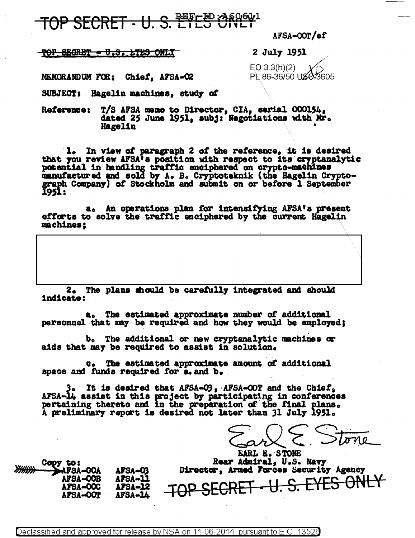## TOP SECRET - U. S. ETES ONLY

AFSA-OOT/ef

### <u> TOP SEGRET - U.S. LTES ONLY</u>

### 2 July 1951

 $EO 3.3(h)(2)$ PL 86-36/50 USC 3605

MEMORANDUM FOR: Chief, AFSA-O2

SUBJECT: Hagelin machines, study of

T/S AFSA memo to Director, CIA, serial 000154, **Reference:** dated 25 June 1951, subj: Negotiations with Mr. Hagelin

1. In view of paragraph 2 of the reference, it is desired potential in handling traffic enciphered on crypto-machines manufactured and sold by A. B. Cryptoteknik (the Hagelin Crypto-graph Company) of Stockholm and submit on or before 1 September 1951: that you review AFSA's position with respect to its cryptanalytic

a. An operations plan for intensifying AFSA's present efforts to solve the traffic enciphered by the current Hagelin machines;

2. The plans should be carefully integrated and should indicate:

a. The estimated approximate number of additional personnel that may be required and how they would be employed:

b. The additional or new cryptanalytic machines or aids that may be required to assist in solution.

c. The estimated approximate amount of additional space and funds required for a and b.

3. It is desired that AFSA-03, AFSA-00T and the Chief. AFSA-14 assist in this project by participating in conferences pertaining thereto and in the preparation of the final plans. A preliminary report is desired not later than 31 July 1951.

EARL E. STONE Rear Admiral, U.S. Navy Director, Armed Forces Security Agency  $-\bigcup. S. EYES$ ONLY TOP SECRET

Copy to: AFSA-OOA AFSA-O3 **AFSA-OOB** AFSA-11 **AFSA-OOC** AFSA-12 **AFSA-OOT** AFSA-14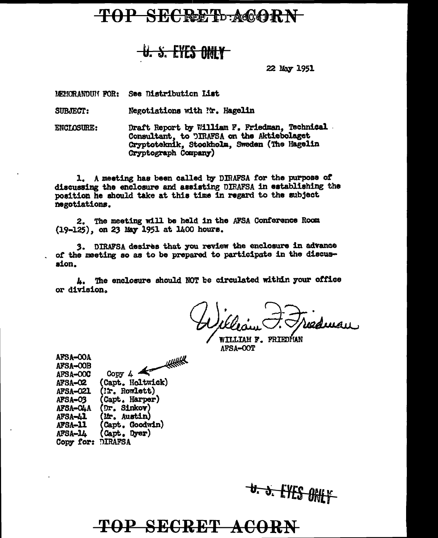## **TOP SECRET ACORN**

## U. S. EYES ONLY

22 May 1951

MEMORANDUM FOR: See Distribution List

Negotiations with Nr. Hagelin SUBJECT:

Draft Report by William F. Friedman, Technical. **ENCLOSURE:** Consultant, to DIRAFSA on the Aktiebolaget Cryptoteknik, Stockholm, Sweden (The Hagelin Cryptograph Company)

1. A meeting has been called by DIRAFSA for the purpose of discussing the enclosure and assisting DIRAFSA in establishing the position he should take at this time in regard to the subject negotiations.

2. The meeting will be held in the AFSA Conference Room (19-125), on 23 May 1951 at 1400 hours.

3. DIRAFSA desires that you review the enclosure in advance of the meeting so as to be prepared to participate in the discussion.

4. The enclosure should NOT be circulated within your office or division.

radiusu

**WILLIAM F. PRIEDÍJAN** AFSA-OOT

| AFSA-COA          |                  |
|-------------------|------------------|
| AFSA-OOB          | <b>HEATHER</b>   |
| AFSA-OOC          | Copy $4$         |
| AFSA-02           | (Capt. Holtwick) |
| <b>AFSA-021</b>   | (Ir. Rowlett)    |
| AFSA-03           | (Capt. Harper)   |
| AFSA-CLA          | (Dr. Sinkov)     |
| AFSA-41           | (Mr. Austin)     |
| AFSA-11           | (Capt. Goodwin)  |
| AFSA-14           | (Capt. Dyer)     |
| Copy for: DIRAFSA |                  |
|                   |                  |

 $100010000$ 

U. J. LYES ONLY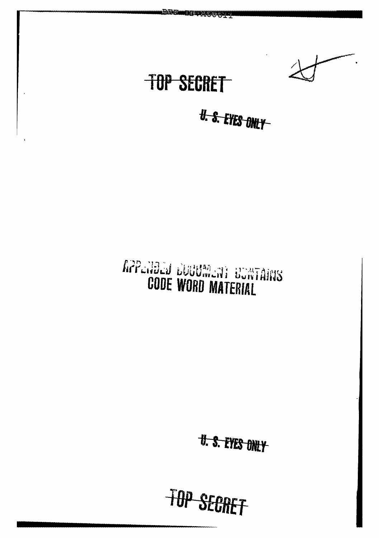. В Помищ при достали TOP SECRET U. S. EYES ONLY RPPENDED DUBBMENT BUNTAINS **CODE WORD MATERIAL** 

**U. S. EYES ONLY** 

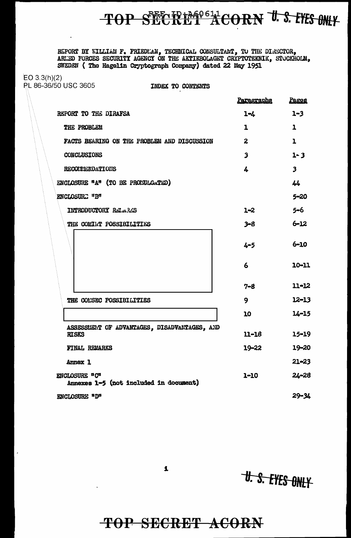# TOP SECRET ACORN U.S. EYES ONLY

REPORT BY WILLIAM F. FRIEDLAN, TECHNICAL CONSULTANT, TO THE DIRECTOR, ARLED FORGES SECURITY AGENCY ON THE AKTIEBOLAGET CRYPTOTEKNIK, STOCKHOLM, SWEDEN (The Hagelin Cryptograph Company) dated 22 May 1951

 $EO 3.3(h)(2)$ **PL 86-36/50 USC 3605** 

 $\overline{a}$ 

INDEX TO CONTENTS

|                                                              | <u>Paragrapha</u>       | Pages                   |
|--------------------------------------------------------------|-------------------------|-------------------------|
| REPORT TO THE DIRAFSA                                        | $1 - 4$                 | $1 - 3$                 |
| THE PROBLEM                                                  | $\mathbf 1$             | 1                       |
| FACTS BEARING ON THE PROBLEM AND DISCUSSION                  | $\overline{2}$          | $\mathbf{1}$            |
| CONCLUSIONS                                                  | $\overline{\mathbf{3}}$ | $1 - 3$                 |
| RECOLLENDATIONS                                              | 4                       | $\overline{\mathbf{3}}$ |
| ENCLOSURE "A" (TO BE PROMILGATED)                            |                         | 44                      |
| ENCLOSURE "B"                                                |                         | $5 - 20$                |
| INTRODUCTORY RELAXS                                          | $1 - 2$                 | $5 - 6$                 |
| THE COMINT POSSIBILITIES                                     | $3 - 8$                 | $6 - 12$                |
|                                                              | $4 - 5$                 | $6 - 10$                |
|                                                              | 6                       | 10-11                   |
|                                                              | $7 - 8$                 | $11 - 12$               |
| THE COL'SEC POSSIBILITIES                                    | 9                       | $12 - 13$               |
|                                                              | 10                      | $14 - 15$               |
| ASSESSEEMT OF ADVANTAGES, DISADVANTAGES, AND<br><b>RISKS</b> | $11 - 18$               | $15 - 19$               |
| FINAL REMARKS                                                | 19–22                   | 19-20                   |
| Annex 1                                                      |                         | $21 - 23$               |
| ENCLOSURE "C"<br>Annexes 1-5 (not included in document)      | $1 - 10$                | $2L - 28$               |
| ENCLOSURE "D"                                                |                         | $29 - 34$               |

**U. S. EYES ONLY** 

TOP SECRET ACORN

 $\mathbf{L}$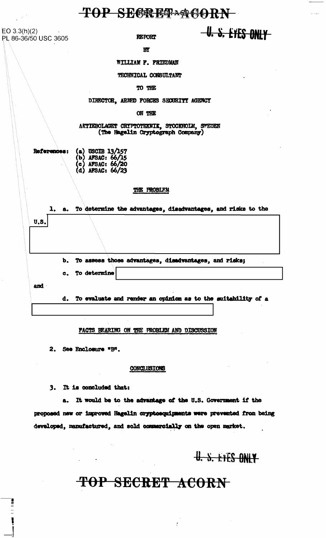TOP SECRET ACORN

 $EO 3.3(h)(2)$ PL 86-36/50 USC 3605

**REPORT** 

U. S. EYES ONLY

 $\overline{\mathbf{B}}$ 

WILLIAM F. FRIEDMAN

TECHNICAL CONSULTANT

TO THE

DIRECTOR, ARMED FORCES SECURITY AGENCY

ON THE

AKTIEBOLAGET CRYPTOTEKNIK, STOCKHOLM, SWEDEN (The Hagelin Cryptograph Company)

|  | References: (a) USCIB 13/157<br>(b) AFSAC: 66/15<br>(c) AFSAC: 66/20<br>(d) AFSAC: 66/23 |
|--|------------------------------------------------------------------------------------------|
|  |                                                                                          |
|  |                                                                                          |
|  |                                                                                          |

### THE PROBLEM

|      |  | 1, a. To determine the advantages, disadvantages, and risks to the |
|------|--|--------------------------------------------------------------------|
| U.S. |  |                                                                    |
|      |  |                                                                    |
|      |  |                                                                    |
|      |  | b. To assess those advantages, disadvantages, and risks;           |
|      |  | c. To determine                                                    |
| and  |  |                                                                    |
|      |  | d. To evaluate and render an opinion as to the suitability of a    |
|      |  |                                                                    |

FACTS BEARING ON THE FROBLEM AND DISCUSSION

2. See Enclosure "B".

### CONCLUSIONS

3. It is concluded that:

It would be to the advantage of the U.S. Government if the a. proposed new or improved Hagelin cryptoequipments were prevented from being developed, manufactured, and sold commercially on the open market.

## U. S. EYES ONLY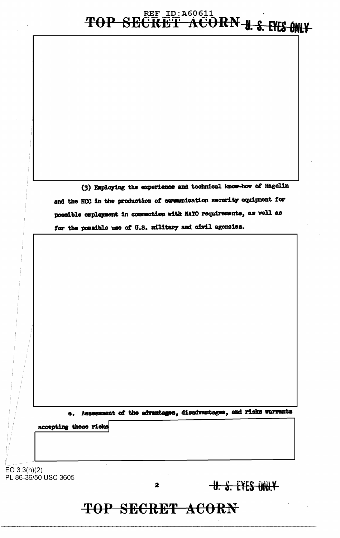# TOP SECRET ACORN-U.S. EYES ONLY-

(3) Employing the experience and technical know-how of Hagelin and the RCC in the production of communication security equipment for possible employment in connection with NATO requirements, as well as for the possible use of U.S. military and civil agencies.

e. Assessment of the advantages, disadvantages, and risks warrants

accepting these risks

EO  $3.3(h)(2)$ PL 86-36/50 USC 3605

 $\mathbf{z}$ 

**U. S. EYES ONLY**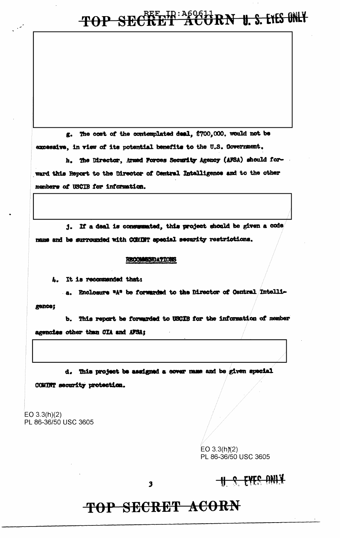# TOP SECRET ACORN U.S. LIES ONLY

g. The cost of the contemplated deal, \$700,000, would not be excessive, in view of its potential benefits to the U.S. Government.

h. The Director, Armed Forces Security Agency (AFSA) should forward this Report to the Director of Central Intalligence and to the other members of USCIB for information.

j. If a deal is consummated, this project should be given a code name and be surrounded with COMINT special security restrictions.

### **RECOMMENDATIONS**

4. It is recommended that:

a. Enclosure "A" be forwarded to the Director of Central Intelligence;

b. This report be forwarded to USCIB for the information of member agencies other than CIA and AFSA;

d. This project be assigned a cover name and be given special

COMINT security protection.

EO  $3.3(h)(2)$ PL 86-36/50 USC 3605

> $EO$  3.3(h)(2) PL 86-36/50 USC 3605

 $\overline{\mathbf{3}}$ 

## **U.S. EYES ONLY**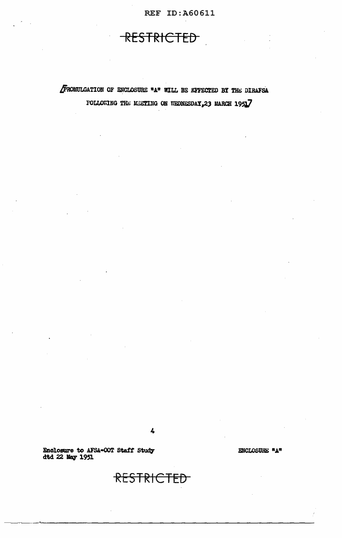## RESTRICTED

FROMULGATION OF ENCLOSURE "A" WILL BE EFFECTED BY THE DIRAFSA FOLLOWING THE MEETING ON WEDNESDAY, 23 MARCH 1951

4

RESTRICTED

Enclosure to AFSA-OOT Staff Study<br>dtd 22 May 1951

ENCLOSURE "A"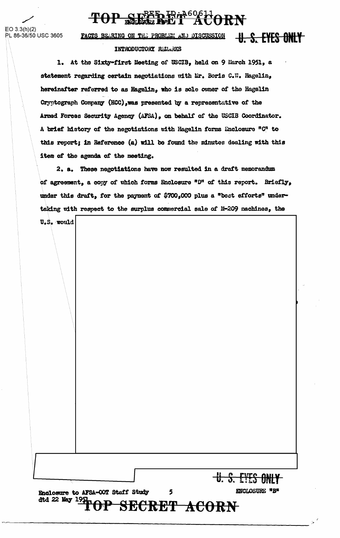#### <u>Rrin60611</u> <u> PAL 1</u> **RN TOP**

 $EO 3.3(h)(2)$ PL 86-36/50 USC 3605

U. S. EYES ONLY FACTS BEARING ON THE PROBLEM AND DISCUSSION INTRODUCTORY RELARKS

1. At the Sixty-first Meeting of USCIB, held on 9 March 1951, a statement regarding certain negotiations with Mr. Boris C.W. Hagelin, hereinafter referred to as Hagelin, who is sole owner of the Hagelin Cryptograph Company (HCC), was presented by a representative of the Armed Forces Security Agency (AFSA), on behalf of the USCIB Coordinator. A brief history of the negotiations with Hagelin forms Enclosure "C" to this report; in Reference (a) will be found the minutes dealing with this item of the agenda of the meeting.

2. a. These negotiations have now resulted in a draft memorandum of agreement, a copy of which forms Enclosure "D" of this report. Briefly, under this draft, for the payment of \$700,000 plus a "best efforts" undertaking with respect to the surplus commercial sale of M-209 machines, the

U.S. would

Enclosure to AFSA-OOT Staff Study dtd 22 May 19 SECRET ACORN

5

<u>U. S. EYES ONLY</u>

ENCLOSURE \*B\*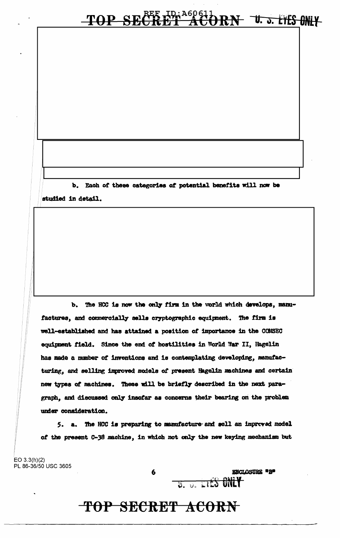### **REE 10: A60611**<br>CRET ACC TOP SE  $\overline{\textbf{\textcolor{black}{\theta}}\textbf{R}}\textbf{N}$  to the contribution of  $\overline{\textbf{\textcolor{black}{\theta}}}\textbf{N}$

b. Each of these categories of potential benefits will now be studied in detail.

The HCC is now the only firm in the world which develops, manu- $\mathbf{b}_{\bullet}$ factures, and commercially sells cryptographic equipment. The firm is well-established and has attained a position of importance in the COMSEC equipment field. Since the end of hostilities in World War II, Hagelin has made a number of inventions and is contemplating developing, manufacturing, and selling improved models of present Hagelin machines and certain new types of machines. These will be briefly described in the next paragraph, and discussed only insofar as concerns their bearing on the problem under consideration.

5. a. The HCC is preparing to manufacture and sell an improved model of the present C-38 machine, in which not only the new keying mechanism but

 $EO 3.3(h)(2)$ PL 86-36/50 USC 3605

**ENCLOSURE #B#**  $\overline{v}$ .  $\overline{v}$ . E125 ONLY

## TOP SECRET ACORN

6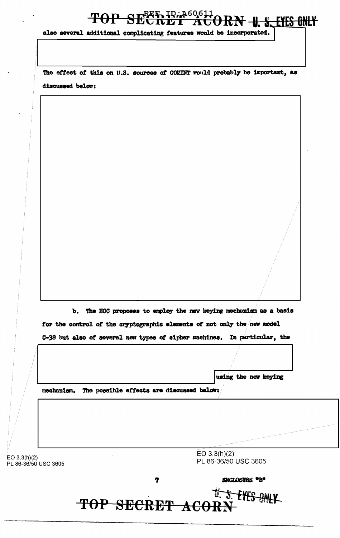### TOP SECRET At <del>T -U. S. EYES ONLY</del>

also several additional complicating features would be incorporated.

The effect of this on U.S. sources of COMINT would probably be important, as discussed below:

b. The HCC proposes to employ the new keying mechanism as a basis for the control of the cryptographic elements of not only the new model C-38 but also of several new types of cipher machines. In particular, the

using the new keying

mechanism. The possible effects are discussed below:

 $EO 3.3(h)(2)$ PL 86-36/50 USC 3605  $EO 3.3(h)(2)$ PL 86-36/50 USC 3605

7

**ENCLOSURE \*B\*** 

U. S. EYES ONLY TOP SECRET ACORP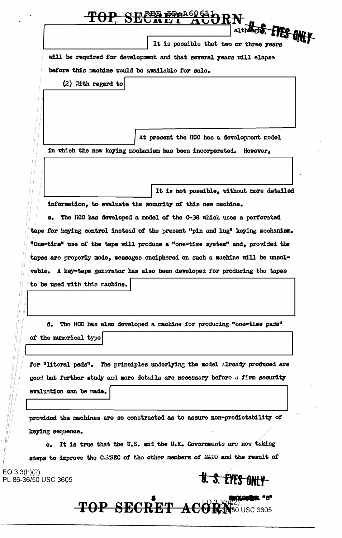|                               | althought. EVES ON<br>It is possible that two or three years                                                                                               |
|-------------------------------|------------------------------------------------------------------------------------------------------------------------------------------------------------|
|                               | will be required for development and that several years will elapse                                                                                        |
|                               | before this machine would be available for sale.                                                                                                           |
| $(2)$ With regard to          |                                                                                                                                                            |
|                               |                                                                                                                                                            |
|                               |                                                                                                                                                            |
|                               |                                                                                                                                                            |
|                               | At present the HCC has a development model                                                                                                                 |
|                               | in which the new keying mechanism has been incorporated. However,                                                                                          |
|                               |                                                                                                                                                            |
|                               | It is not possible, without more detailed                                                                                                                  |
|                               | information, to evaluate the security of this new machine.                                                                                                 |
|                               | c. The HCC has developed a model of the C-38 which uses a perforated                                                                                       |
|                               | tape for keying control instead of the present "pin and lug" keying mechanism.                                                                             |
|                               | "One-time" use of the tape will produce a "one-time system" and, provided the                                                                              |
|                               | tapes are properly made, messages enciphered on such a machine will be unsol-                                                                              |
|                               |                                                                                                                                                            |
|                               | vable. A key-tape generator has also been developed for producing the tapes                                                                                |
| to be used with this machine. |                                                                                                                                                            |
|                               |                                                                                                                                                            |
|                               |                                                                                                                                                            |
|                               | d. The HCC has also developed a machine for producing "one-time pads"                                                                                      |
| of the numerical type         |                                                                                                                                                            |
|                               |                                                                                                                                                            |
|                               |                                                                                                                                                            |
|                               | good but further study and more details are necessary before a firm security                                                                               |
| evaluation can be made.       |                                                                                                                                                            |
|                               | provided the machines are so constructed as to assure non-predictability of                                                                                |
|                               |                                                                                                                                                            |
|                               | e. It is true that the U.S. and the U.K. Governments are now taking                                                                                        |
| keying sequence.              | for "literal pads". The principles underlying the model already produced are<br>steps to improve the COMSEC of the other members of NATO and the result of |

TOP SECRET ACORDIO USC 3605 u Bu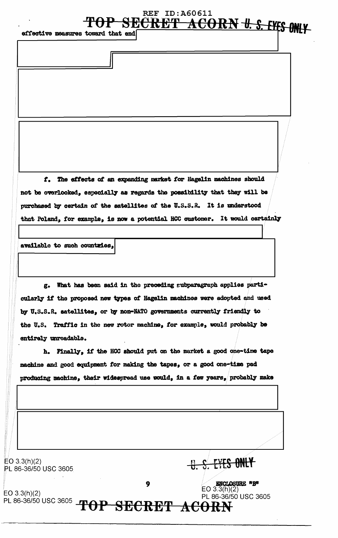## **REF ID: A60611 SECRET ACORN U.S. EYES ONLY**

effective measures toward that end

f. The effects of an expanding market for **Hagelin** machines should not be overlooked, especially as regards the possibility that they will be purchased by certain of the satellites of the U.S.S.R. It is understood that Poland, for example, is now a potential HCC customer. It would certainly

available to such countries,

g. What has been said in the preceding eubparagraph applies particularly if the proposed new types of Hagelin machines were adopted and used by U.S.S.R. satellites, or by non-NATO governments currently friendly to the U.S. Traffic in the new rotor machine, for example, would probably be entirely unroadable.

h. Finally, if the HCC should put on the market a good one-time tape machine and good equipment for making the tapes, or a good one-time pad producing machine, their widespread use would, in a few years, probably make

| EO 3.3(h)(2)<br>PL 86-36/50 USC 3605 |                  | S. EYES ONLY                                                                  |
|--------------------------------------|------------------|-------------------------------------------------------------------------------|
| EO $3.3(h)(2)$                       | 9                | <b>ENCLOSURE *B*</b><br>EO $3.\overline{3}$ (h) $(2)$<br>PL 86-36/50 USC 3605 |
| PL 86-36/50 USC 3605                 | TOP SECRET ACORN |                                                                               |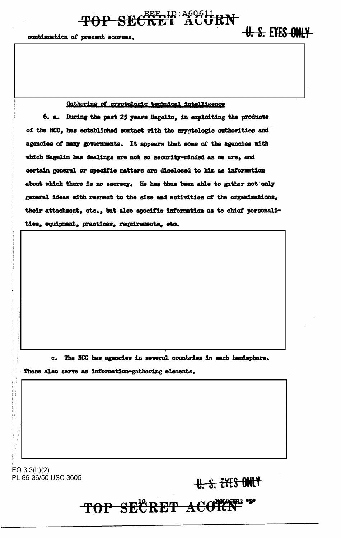### Gathering of cryptologic technical intelligence

TOP SECRET ACORN

6. a. During the past 25 years Hagelin, in exploiting the products of the HCC, has established contact with the cryptologic authorities and agencies of many governments. It appears that some of the agencies with which Hagelin has dealings are not so security-minded as we are, and certain general or specific matters are disclosed to him as information about which there is no secrecy. He has thus been able to gather not only general ideas with respect to the size and activities of the organizations, their attachment, etc., but also specific information as to chief personalities, equipment, practices, requirements, etc.

c. The HCC has agencies in several countries in each hemisphere.

These also serve as information-gathering elements.

 $EO 3.3(h)(2)$ PL 86-36/50 USC 3605

U. S. EYES ONLY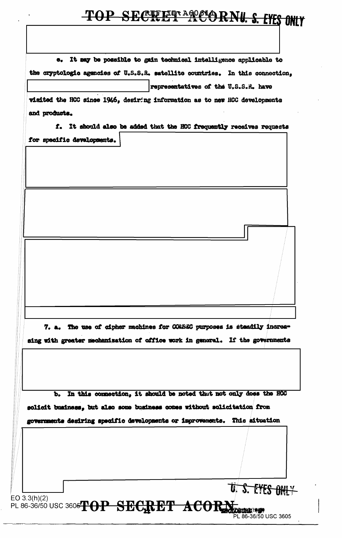# TOP SECREET ACCORNU. S. EYES ONLY

| the cryptologic agencies of U.S.S.R. satellite countries. In this connection, |                                                                   |                                      |  |
|-------------------------------------------------------------------------------|-------------------------------------------------------------------|--------------------------------------|--|
|                                                                               |                                                                   | representatives of the U.S.S.R. have |  |
| visited the HCC since 1946, desiring information as to new HCC developments   |                                                                   |                                      |  |
| and products.                                                                 |                                                                   |                                      |  |
| f. It should also be added that the HCC frequently receives requests          |                                                                   |                                      |  |
| for specific developments.                                                    |                                                                   |                                      |  |
|                                                                               |                                                                   |                                      |  |
|                                                                               |                                                                   |                                      |  |
|                                                                               |                                                                   |                                      |  |
|                                                                               |                                                                   |                                      |  |
|                                                                               |                                                                   |                                      |  |
|                                                                               |                                                                   |                                      |  |
|                                                                               |                                                                   |                                      |  |
|                                                                               |                                                                   |                                      |  |
|                                                                               |                                                                   |                                      |  |
|                                                                               |                                                                   |                                      |  |
|                                                                               |                                                                   |                                      |  |
|                                                                               |                                                                   |                                      |  |
|                                                                               |                                                                   |                                      |  |
| 7. a. The use of cipher machines for COMSEC purposes is staadily increa-      |                                                                   |                                      |  |
| sing with greater mechanization of office work in general. If the governments |                                                                   |                                      |  |
|                                                                               |                                                                   |                                      |  |
|                                                                               |                                                                   |                                      |  |
| Ъ.                                                                            | In this connection, it should be noted that not only does the HCC |                                      |  |
| solicit business, but also some business comes without solicitation from      |                                                                   |                                      |  |
| governments desiring specific developments or improvements. This situation    |                                                                   |                                      |  |
|                                                                               |                                                                   |                                      |  |
|                                                                               |                                                                   |                                      |  |
|                                                                               |                                                                   |                                      |  |
|                                                                               |                                                                   |                                      |  |
|                                                                               |                                                                   | U. S. EYES ONLY                      |  |
|                                                                               |                                                                   |                                      |  |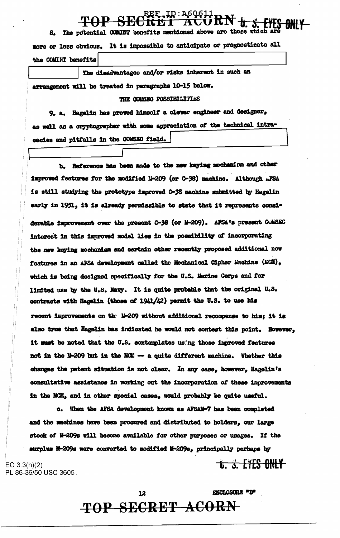8. The potential COMINT benefits mentioned above are those which ar more or less obvious. It is impossible to anticipate or prognosticate all the COMINT benefits

The disadvantages and/or risks inherent in such an arrangement will be treated in paragraphs 10-15 below. THE CONSEC POSSIBILITIES

9. a. Hagelin has proved himself a clever engineer and designer, as well as a cryptographer with some appreciation of the technical intracacies and pitfalls in the COMSEC field.

Reference has been made to the new kaying mechanism and other Ъ. improved features for the modified M-209 (or C-38) machine. Although AFSA is still studying the prototype improved C-38 machine submitted by Hagelin early in 1951, it is already permissible to state that it represents considerable improvement over the present C-38 (or M-209). AFSA's present COMSEC interest in this improved model lies in the possibility of incorporating the new keying mechanism and certain other recently proposed additional new features in an AFSA development called the Mechanical Cipher Machine (MCM). which is being designed specifically for the U.S. Marine Corps and for limited use by the U.S. Navy. It is quite probable that the original U.S. contracts with Hagelin (those of 1941/42) permit the U.S. to use his recent improvements on the M-209 without additional recompense to him; it is also true that Hagelin has indicated he would not contest this point. However, it must be noted that the U.S. contemplates using those improved features not in the M-209 but in the MCM -- a quite different machine. Whether this changes the patent situation is not clear. In any case, however, Hagelin's consultative assistance in working out the incorporation of these improvements in the MCM, and in other special cases, would probably be quite useful.

c. When the AFSA development known as AFSAM-7 has been completed and the machines have been procured and distributed to holders, our large stock of M-209s will become available for other purposes or usages. If the surplus M-209s were converted to modified M-209s, principally perhaps by

 $EO 3.3(h)(2)$ PL 86-36/50 USC 3605.

**ENCLOSIBE "B"** 

**THE S. EYES ONLY**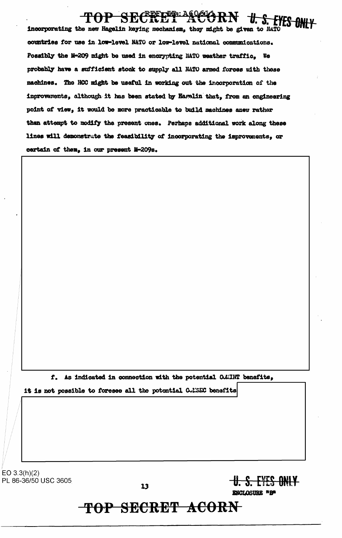# <u> - TIDI: A60616</u>

incorporating the new Hagelin keying mechanism, they might be given to NATO countries for use in low-level NATO or low-level national communications. Possibly the M-209 might be used in encrypting NATO weather traffic. We probably have a sufficient stock to supply all NATO armed forces with these machines. The HCC might be useful in working out the incorporation of the improvements, although it has been stated by Harelin that, from an engineering point of view, it would be more practicable to build machines anew rather than attempt to modify the present ones. Perhaps additional work along these lines will demonstrate the feasibility of incorporating the improvements, or certain of them, in our present M-209s.

f. As indicated in connection with the potential CAMINT benefits,

it is not possible to foresee all the potential CoMESC benefits

EO  $3.3(h)(2)$ PL 86-36/50 USC 3605

 $13$ 

## TOP SECRET ACORN

**U.S. EYES ONLY** 

ENCLOSURE "B"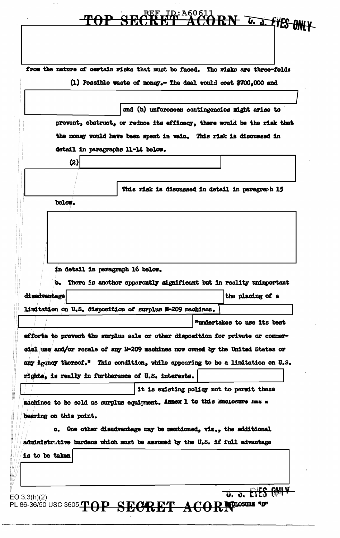### <u>D</u>:A6061 **TAPS** U. J. FYES ONLY

from the nature of certain risks that must be faced. The risks are three-fold: (1) Possible waste of money.- The deal would cost \$700,000 and

and (b) unforeseen contingencies might arise to prevent, obstruct, or reduce its efficacy, there would be the risk that the money would have been spent in vain. This risk is discussed in detail in paragraphs 11-14 below.  $(2)$ This risk is discussed in detail in paragraph 15 below. in detail in paragraph 16 below. b. There is another apparently significant but in reality unimportant disadvantage the placing of a limitation on U.S. disposition of surplus M-209 machines. "undertakes to use its best efforts to prevent the surplus sale or other disposition for private or commercial use and/or resale of any M-209 machines now owned by the United States or any Agency thereof." This condition, while appearing to be a limitation on U.S. rights, is really in furtherance of U.S. interests. it is existing policy not to permit these machines to be sold as surplus equipment. Annex 1 to this knolosure mas a bearing on this point. c. One other disadvantage may be mentioned, viz., the additional administrative burdens which must be assumed by the U.S. if full advantage is to be taken U. J. EYES GNIV  $EO 3.3(h)(2)$ 

PL 86-36/50 USC 3605 TOP SECRET ACORNECOSURE "B"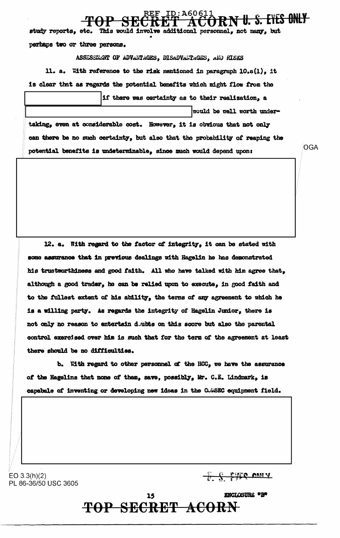ID:A6061. <del>V U. S. EYES ONLY</del> study reports, etc. This would involve additional personnel, not many, but perhaps two or three persons. ASSESSMENT OF ADVANTAGES, DISADVANTAGES, AND RISKS

if there was certainty as to their realization, a

OGA

11. a. With reference to the risk mentioned in paragraph 10.a(1), it is clear that as regards the potential benefits which might flow from the

would be well worth undertaking, even at considerable cost. However, it is obvious that not only can there be no such certainty, but also that the probability of reaping the potential benefits is undeterminable, since much would depend upon:

12. a. With regard to the factor of integrity, it can be stated with some assurance that in previous dealings with Hagelin he has demonstrated his trustworthiness and good faith. All who have talked with him agree that, although a good trader, he can be relied upon to execute, in good faith and to the fullest extent of his ability, the terms of any agreement to which he is a willing party. As regards the integrity of Hagelin Junior, there is not only no reason to entertain dubts on this score but also the parental control exercised over him is such that for the term of the agreement at least there should be no difficulties.

b. With regard to other personnel of the HCC, we have the assurance of the Hagelins that none of them, save, possibly, Mr. C.E. Lindmark, is capabale of inventing or developing new ideas in the COMSEC equipment field.

EO  $3.3(h)(2)$ PL 86-36/50 USC 3605

 $\frac{1}{x}$   $\frac{1}{x}$   $\frac{1}{x}$   $\frac{1}{x}$   $\frac{1}{x}$   $\frac{1}{x}$   $\frac{1}{x}$   $\frac{1}{x}$   $\frac{1}{x}$   $\frac{1}{x}$   $\frac{1}{x}$   $\frac{1}{x}$   $\frac{1}{x}$   $\frac{1}{x}$   $\frac{1}{x}$   $\frac{1}{x}$   $\frac{1}{x}$   $\frac{1}{x}$   $\frac{1}{x}$   $\frac{1}{x}$   $\frac{1}{x}$   $\frac{1}{x}$ 

**ENCLOSURE \*B\*** 15 TOP SECRET ACORN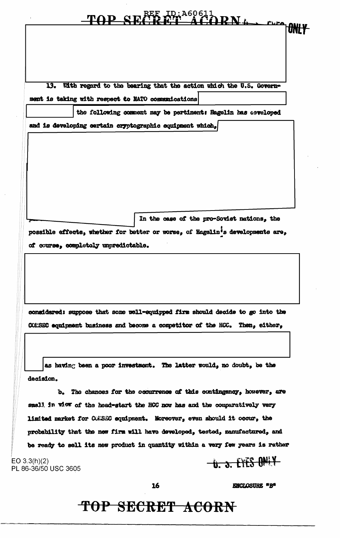|                                      |                                                          | MD CLAKE ID: A60611 | Furn 10N                                                                       |  |
|--------------------------------------|----------------------------------------------------------|---------------------|--------------------------------------------------------------------------------|--|
|                                      |                                                          |                     |                                                                                |  |
|                                      |                                                          |                     |                                                                                |  |
|                                      |                                                          |                     |                                                                                |  |
|                                      |                                                          |                     |                                                                                |  |
| 13.                                  |                                                          |                     | With regard to the bearing that the action which the U.S. Govern-              |  |
|                                      | ment is taking with respect to NATO communications       |                     |                                                                                |  |
|                                      |                                                          |                     | the following comment may be pertinent: Hagelin has ceveloped                  |  |
|                                      | and is developing certain cryptographic equipment which, |                     |                                                                                |  |
|                                      |                                                          |                     |                                                                                |  |
|                                      |                                                          |                     |                                                                                |  |
|                                      |                                                          |                     |                                                                                |  |
|                                      |                                                          |                     |                                                                                |  |
|                                      |                                                          |                     |                                                                                |  |
|                                      |                                                          |                     |                                                                                |  |
|                                      |                                                          |                     | In the case of the pro-Soviet nations, the                                     |  |
|                                      |                                                          |                     | possible effects, whether for better or worse, of Hagelin's developments are,  |  |
|                                      | of course, completely unpredictable.                     |                     |                                                                                |  |
|                                      |                                                          |                     |                                                                                |  |
|                                      |                                                          |                     |                                                                                |  |
|                                      |                                                          |                     | considered: suppose that some well-equipped firm should decide to go into the  |  |
|                                      |                                                          |                     | COMSEC equipment business and become a competitor of the HCC. Then, either,    |  |
|                                      |                                                          |                     |                                                                                |  |
|                                      |                                                          |                     |                                                                                |  |
|                                      |                                                          |                     | as having been a poor investment. The latter would, no doubt, be the           |  |
| decision.                            |                                                          |                     |                                                                                |  |
|                                      |                                                          |                     | b. The chances for the occurrence of this contingency, however, are            |  |
|                                      |                                                          |                     | small in view of the head-start the HCC now has and the comparatively very     |  |
|                                      |                                                          |                     | limited market for CONSEC equipment. Moreover, even should it occur, the       |  |
|                                      |                                                          |                     | probability that the new firm will have developed, tested, manufactured, and   |  |
|                                      |                                                          |                     | be ready to sell its new product in quantity within a very few years is rather |  |
| EO 3.3(h)(2)<br>PL 86-36/50 USC 3605 |                                                          |                     | <b>U. S. EYES ONLY</b>                                                         |  |
|                                      |                                                          | 16                  | <b>ENCLOSURE "B"</b>                                                           |  |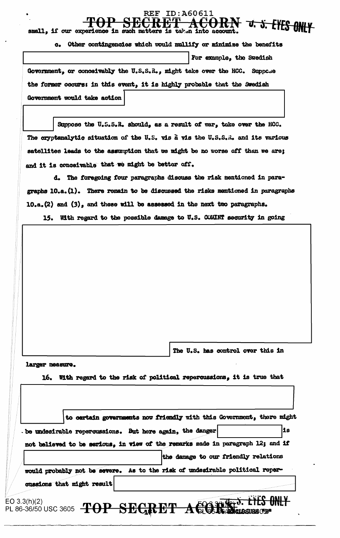#### ID:A60611 REF SECRET ACORN v. s. EYES ONLY  $\mathbf{\mathcal{H}}$

| SMRTT: TT ANT AVASTORTOMA TH DRAFT WARAGED TD AGARDII THAN GOGANITAL         |                          |  |  |  |  |
|------------------------------------------------------------------------------|--------------------------|--|--|--|--|
| Other contingencies which would mullify or minimize the benefits<br>$\alpha$ |                          |  |  |  |  |
|                                                                              | For example, the Swedish |  |  |  |  |
| Government, or conceivably the U.S.S.R., might take over the HCC. Suppose    |                          |  |  |  |  |
| the former occurs: in this event, it is highly probable that the Swedish     |                          |  |  |  |  |
| Government would take action                                                 |                          |  |  |  |  |

Suppose the U.S.S.R. should, as a result of war, take over the HCC. The cryptanalytic situation of the U.S. vis à vis the U.S.S.R. and its various satellites leads to the assumption that we might be no worse off than we are; and it is conceivable that we might be better off.

d. The foregoing four paragraphs discuss the risk mentioned in paragraphs 10.a. (1). There remain to be discussed the risks mentioned in paragraphs 10.a.(2) and (3), and these will be assessed in the next two paragraphs.

15. With regard to the possible damage to U.S. COMINT security in going

The U.S. has control over this in

larger measure.

16. With regard to the risk of political repercussions, it is true that

|                            | be undesirable repercussions. But here again, the danger                        | lis |
|----------------------------|---------------------------------------------------------------------------------|-----|
|                            | not believed to be serious, in view of the remarks made in paragraph 12; and if |     |
|                            | the damage to our friendly relations                                            |     |
|                            | would probably not be severe. As to the risk of undesirable political reper-    |     |
|                            |                                                                                 |     |
| cussions that might result |                                                                                 |     |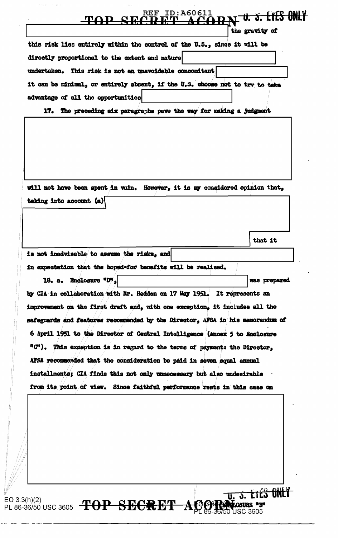### <u>ID:A60611</u> <u>ËĀRN V. S. EIES ONLY</u> **REF**

the gravity of

| this risk lies entirely within the control of the U.S., since it will be     |  |
|------------------------------------------------------------------------------|--|
| directly proportional to the extent and nature                               |  |
| undertaken. This risk is not an unavoidable concomitant                      |  |
| it can be minimal, or entirely absent, if the U.S. choose not to try to take |  |
| advantage of all the opportunities                                           |  |

17. The preceding six paragraphs pave the way for making a judgment

will not have been spent in vain. However, it is my considered opinion that, taking into account (a)

that it

**ETES ONLY** 

is not inadvisable to assume the risks, and in expectation that the hoped-for benefits will be realized.

18. a. Enclosure "D". was prepared by CIA in collaboration with Mr. Hedden on 17 May 1951. It represents an improvement on the first draft and, with one exception, it includes all the safeguards and features recommended by the Director, AFSA in his memorandum of 6 April 1951 to the Director of Central Intelligence (Annex 5 to Enclosure "C"). This exception is in regard to the terms of payment: the Director, AFSA recommended that the consideration be paid in seven equal annual installments; CIA finds this not only unnecessary but also undesirable from its point of view. Since faithful performance rests in this case on

 $\boldsymbol{\mathcal{A}}$ 

EO  $3.3(h)(2)$ PL 86-36/50 USC 3605 TOP SECRET

 $\sim$  100  $\sim$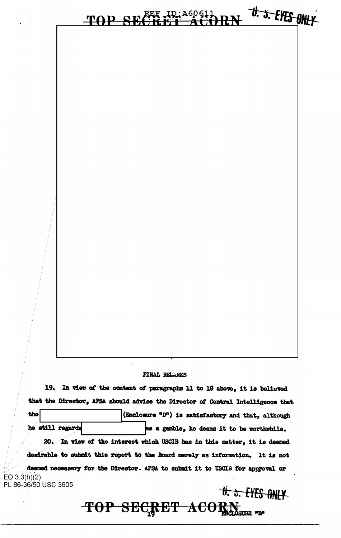### U. J. EYES ONLY <u>ID: A60611</u> TOP SI

### FINAL RELARKS

19. In view of the content of paragraphs 11 to 18 above, it is believed that the Director, AFSA should advise the Director of Central Intelligence that the (Enclosure "D") is satisfactory and that, although he still regards as a gamble, he deems it to be worthwhile. 20. In view of the interest which USCIB has in this matter, it is deemed desirable to submit this report to the Board merely as information. It is not deemed necessary for the Director. AFSA to submit it to USCIB for approval or  $EO$  3.3(h)(2) PL 86-36/50 USC 3605

 $\theta$ .  $\delta$ . EYES ONLY TOP SECRET ACORN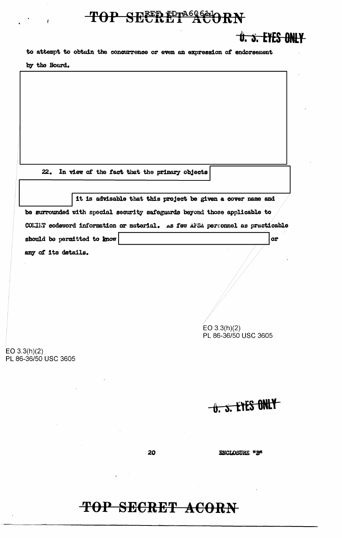## TOP SECRET ACORN

**U. S. EYES ONLY** 

to attempt to obtain the concurrence or even an expression of endorsement by the Board.

22. In view of the fact that the primary objects

it is advisable that this project be given a cover name and be surrounded with special security safeguards beyond those applicable to COLIET codeword information or material. As few AFSA personnel as practicable should be permitted to know or any of its details.  $EO 3.3(h)(2)$ PL 86-36/50 USC 3605  $EO 3.3(h)(2)$ PL 86-36/50 USC 3605

**U. S. EYES ONLY** 

20

**ENCLOSURE "B"**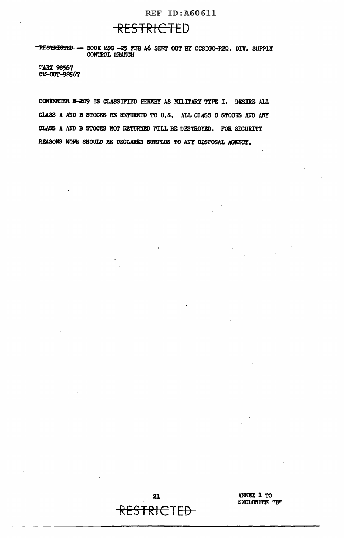### REF ID:A60611

## RESTRICTED

-RESTRIGTED -- BOOK MSG -25 FEB 46 SENT OUT BY OCSIGO-REQ. DIV. SUPPLY CONTROL BRANCH

'f'ARI 98567 CM-OUT-9SS67

CONVERTER 14-209 IS CLASSIFIED HEREBY AS MILITARY TYPE I. DESIRE ALL CLASS A AND B STOCKS BE RETURNED TO U.S. ALL CLASS C STOCKS AND ANY CLASS A AND B STOCKS NOT RETURNED WILL BE DESTROYED. FOR SECURITY REASONS NONE SHOULD BE DECLARED SURPLUS TO ANY DISPOSAL AGENCY.

> 21 RESTRICTED

----~-----------~~~~----------------------

AMNEX 1 TO ENCLOSURE *nB"*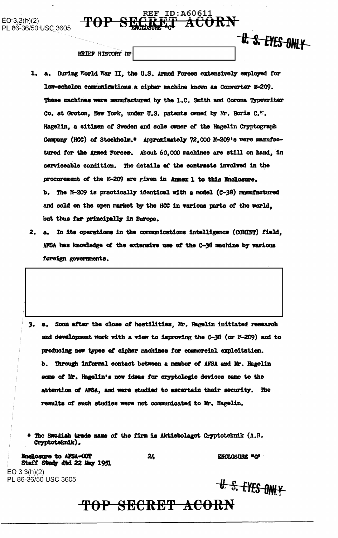BRIEF HISTORY OF

 $-$ <del>TOP</del>

1. a. During World War II, the U.S. Armed Forces extensively employed for low-echelon communications a cipher machine known as Converter M-209. These machines were manufactured by the I.C. Smith and Corona Typewriter Co. at Groton, New York, under U.S. patents owned by Mr. Boris C.W. Hagelin, a citizen of Sweden and sole owner of the Hagelin Cryptograph Company (HCC) of Stockholm.\* Approximately 72,000 E-209's were manufactured for the Armed Forces. About 60,000 machines are still on hand, in serviceable condition. The details of the contracts involved in the procurement of the M-209 are given in Annex 1 to this Enclosure. b. The N-209 is practically identical with a model (C-38) manufactured and sold on the open market by the HCC in various parts of the world, but thus far principally in Europe.

 $\mathop{\bf REF}\nolimits$ 

ID:A60611

RET ACORN

**U. S. EYES ONLY** 

2. a. In its operations in the communications intelligence (COMINT) field, AFSA has knowledge of the extensive use of the C-36 machine by various foreign governments.

3. a. Soon after the close of hostilities. Mr. Hagelin initiated research and development work with a view to improving the C-38 (or N-209) and to producing new types of cipher machines for commercial exploitation. b. Through informal contact between a member of AFSA and Mr. Hagelin some of Mr. Hagelin's new ideas for cryptologic devices came to the attention of AFSA, and were studied to ascertain their security. The results of such studies were not communicated to Mr. Hagelin.

\* The Swedish trade name of the firm is Aktiebolaget Cryptoteknik (A.B. Cryptoteknik).

Enclosure to AFSA-COT Staff Study dtd 22 May 1951  $EO$  3.3(h)(2)

PL 86-36/50 USC 3605

24

ENCLOSURE "O"

**U. S. EYES ONLY**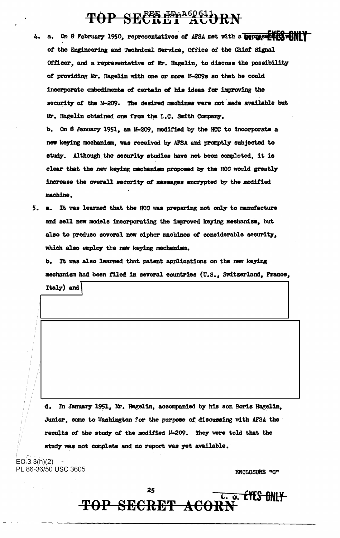# TOP SECRET ACORN

On 8 February 1950, representatives of AFSA met with a **uepresentationally L.** а. of the Engineering and Technical Service, Office of the Chief Signal Officer, and a representative of Mr. Hagelin, to discuss the possibility of providing Mr. Hagelin with one or more M-209s so that he could incorporate embodiments of certain of his ideas for improving the security of the M-209. The desired machines were not made available but Mr. Hagelin obtained one from the L.C. Smith Company.

b. On 8 January 1951, an M-209, modified by the HCC to incorporate a new keying mechanism, was received by AFSA and promptly subjected to study. Although the security studies have not been completed, it is clear that the new keying mechanism proposed by the HCC would greatly increase the overall security of messages encrypted by the modified machine.

5. a. It was learned that the HCC was preparing not only to manufacture and sell new models incorporating the improved keying mechanism, but also to produce several new cipher machines of considerable security, which also employ the new keying mechanism.

b. It was also learned that patent applications on the new keying mechanism had been filed in several countries (U.S., Switzerland, France,

Italy) and

In January 1951, Mr. Hagelin, accompanied by his son Boris Hagelin, d. Junior, came to Washington for the purpose of discussing with AFSA the results of the study of the modified M-209. They were told that the study was not complete and no report was yet available.

 $EO.3.3(h)(2)$ PL 86-36/50 USC 3605

**ENCLOSURE "C"** 

U. J. EYES ONLY

25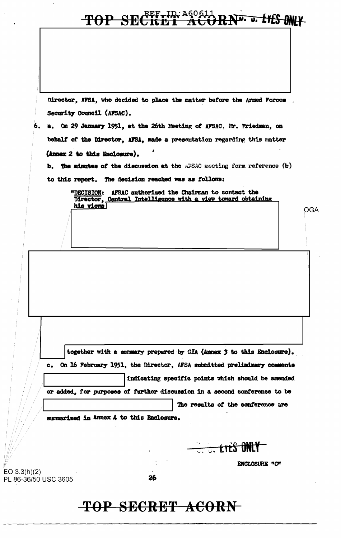### **CRETTE ACC** RNU. J. LYES ONLY TOP SE

Director, AFSA, who decided to place the matter before the Armed Forces Security Council (AFSAC).

## 6. a. On 29 January 1951, at the 26th Meeting of AFSAC, Mr. Friedman, on behalf of the Director, AFSA, made a presentation regarding this matter (Annex 2 to this Enclosure).

b. The minutes of the discussion at the AFSAC meeting form reference (b)

to this report. The decision reached was as follows:

"DECISION: AFSAC authorized the Chairman to contact the Director, Central Intelligence with a view toward obtaining his views

together with a summary prepared by CIA (Annex 3 to this Enclosure). On 16 February 1951, the Director, AFSA submitted preliminary comments  $c_{\bullet}$ indicating specific points which should be amended or added, for purposes of further discussion in a second conference to be

The results of the conference are

summarized in Annex 4 to this Enclosure.

 $EO 3.3(h)(2)$ 

PL 86-36/50 USC 3605

**C.C. LYES ONLY** 

**ENCLOSURE "C"** 

OGA

26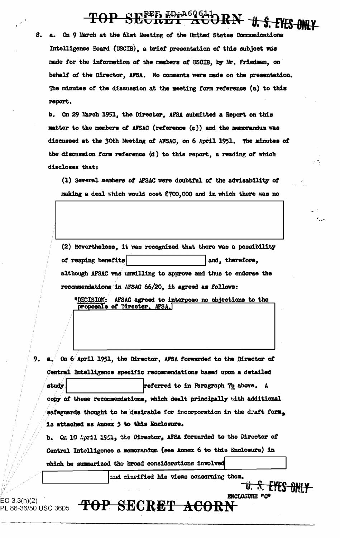### TOP SECRET ACT RN + s. EYES ONLY

8. a. On 9 March at the 61st Meeting of the United States Communications Intelligence Board (USCIB), a brief presentation of this subject was made for the information of the members of USCIB, by Mr. Friedman, on behalf of the Director, AFSA. No comments were made on the presentation. The minutes of the discussion at the meeting form reference (a) to this report.

b. On 29 March 1951, the Director, AFSA submitted a Report on this matter to the members of AFSAC (reference (c)) and the memorandum was discussed at the 30th Meeting of AFSAC, on 6 April 1951. The minutes of the discussion form reference (d) to this report, a reading of which discloses that:

(1) Several members of AFSAC were doubtful of the advisability of making a deal which would cost \$700,000 and in which there was no

(2) Nevertheless, it was recognized that there was a possibility of reaping benefits and, therefore, although AFSAC was unwilling to approve and thus to endorse the recommendations in AFSAC 66/20, it agreed as follows:

"DECISION: AFSAC agreed to interpose no objections to the proposals of Director, AFSA.

9. a. On 6 April 1951, the Director, AFSA forwarded to the Director of Central Intelligence specific recommendations based upon a detailed study referred to in Paragraph 7b above. A copy of these recommendations, which dealt principally with additional safeguards thought to be desirable for incorporation in the draft form, is attached as Annex 5 to this Enclosure.

b. Cm 10 April 1951, the Director, AFSA forwarded to the Director of Central Intelligence a memorandum (see Annex 6 to this Enclosure) in which he summarized the broad considerations involved

and clarified his views concerning them.

<del>U. S. EYES ONLY-</del>

EO 3.3(h)(2) PL 86-36/50 USC 3605

ENCLOSURE "C" TOP SECRET ACORN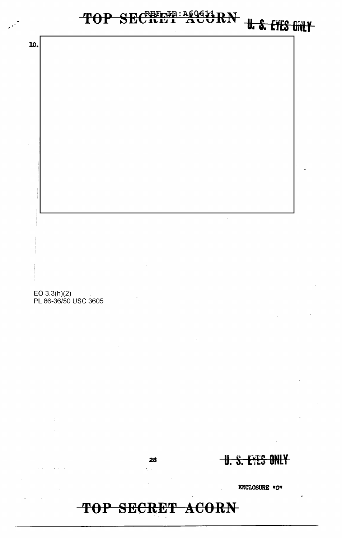## TOP SECRET ACORN

28  $\sqrt{1}$ 

TOP SECRET ACORN U.S. FILS ONLY

 $\hat{\mathcal{A}}$ 

ENCLOSURE "C"

**U.S. EVES ONLY** 

EO 3.3(h)(2)<br>PL 86-36/50 USC 3605

10.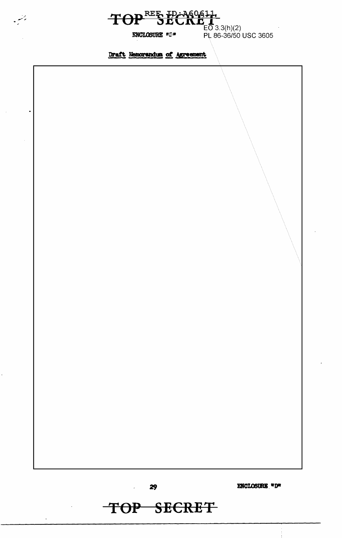

**ENCLOSURE "D"** 

يمنعن

Draft Memorandum of Agreement



TOP SECRET

 $\omega_{\rm{max}}$ 

ENCLOSURE "D"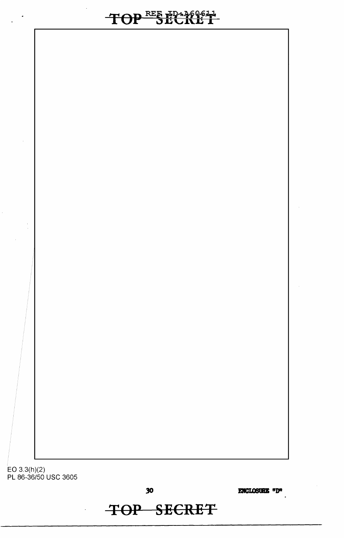# TOP BEREPASSEN

EO 3.3(h)(2) PL 86-36/50 USC 3605

30

**TOP SECRET** 

ENCLOSURE "D"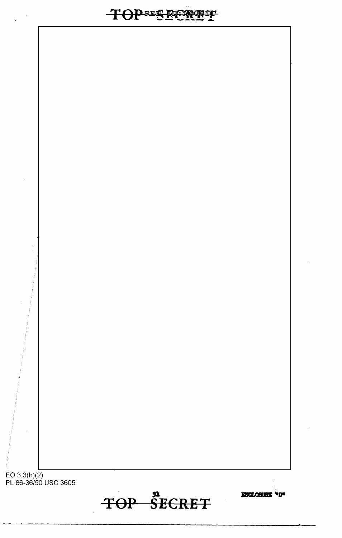TOP SECRET

ENCLOSURE "D"

EO 3.3(h)(2)<br>PL 86-36/50 USC 3605

**TOPESBERGIT**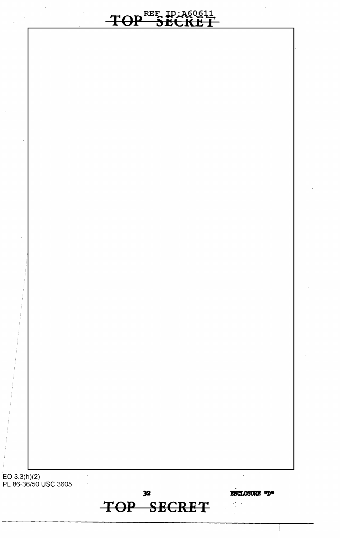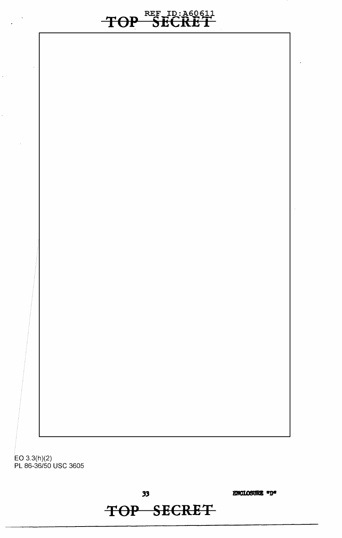REF ID:A60611 **TOP SECRET** 

EO 3.3(h)(2) PL 86-36/50 USC 3605

 $33$ 

ENCLOSURE "D"

**TOP SECRET**